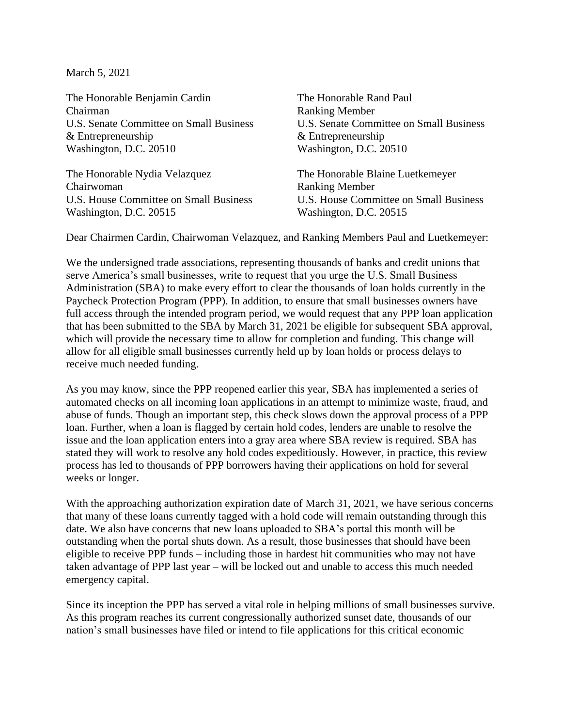March 5, 2021

The Honorable Benjamin Cardin The Honorable Rand Paul Chairman Ranking Member U.S. Senate Committee on Small Business U.S. Senate Committee on Small Business & Entrepreneurship & Entrepreneurship Washington, D.C. 20510 Washington, D.C. 20510

The Honorable Nydia Velazquez The Honorable Blaine Luetkemeyer Chairwoman Ranking Member U.S. House Committee on Small Business U.S. House Committee on Small Business Washington, D.C. 20515 Washington, D.C. 20515

Dear Chairmen Cardin, Chairwoman Velazquez, and Ranking Members Paul and Luetkemeyer:

We the undersigned trade associations, representing thousands of banks and credit unions that serve America's small businesses, write to request that you urge the U.S. Small Business Administration (SBA) to make every effort to clear the thousands of loan holds currently in the Paycheck Protection Program (PPP). In addition, to ensure that small businesses owners have full access through the intended program period, we would request that any PPP loan application that has been submitted to the SBA by March 31, 2021 be eligible for subsequent SBA approval, which will provide the necessary time to allow for completion and funding. This change will allow for all eligible small businesses currently held up by loan holds or process delays to receive much needed funding.

As you may know, since the PPP reopened earlier this year, SBA has implemented a series of automated checks on all incoming loan applications in an attempt to minimize waste, fraud, and abuse of funds. Though an important step, this check slows down the approval process of a PPP loan. Further, when a loan is flagged by certain hold codes, lenders are unable to resolve the issue and the loan application enters into a gray area where SBA review is required. SBA has stated they will work to resolve any hold codes expeditiously. However, in practice, this review process has led to thousands of PPP borrowers having their applications on hold for several weeks or longer.

With the approaching authorization expiration date of March 31, 2021, we have serious concerns that many of these loans currently tagged with a hold code will remain outstanding through this date. We also have concerns that new loans uploaded to SBA's portal this month will be outstanding when the portal shuts down. As a result, those businesses that should have been eligible to receive PPP funds – including those in hardest hit communities who may not have taken advantage of PPP last year – will be locked out and unable to access this much needed emergency capital.

Since its inception the PPP has served a vital role in helping millions of small businesses survive. As this program reaches its current congressionally authorized sunset date, thousands of our nation's small businesses have filed or intend to file applications for this critical economic